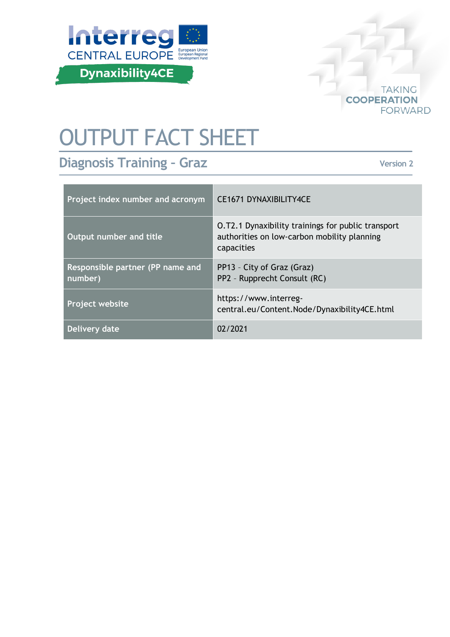



# OUTPUT FACT SHEET

# **Diagnosis Training – Graz**

**Version 2**

| Project index number and acronym            | <b>CE1671 DYNAXIBILITY4CE</b>                                                                                   |
|---------------------------------------------|-----------------------------------------------------------------------------------------------------------------|
| Output number and title                     | O.T2.1 Dynaxibility trainings for public transport<br>authorities on low-carbon mobility planning<br>capacities |
| Responsible partner (PP name and<br>number) | PP13 - City of Graz (Graz)<br>PP2 - Rupprecht Consult (RC)                                                      |
| Project website                             | https://www.interreg-<br>central.eu/Content.Node/Dynaxibility4CE.html                                           |
| Delivery date                               | 02/2021                                                                                                         |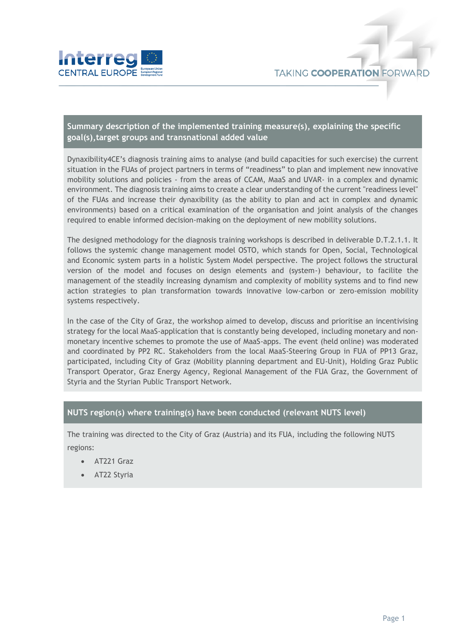

## **Summary description of the implemented training measure(s), explaining the specific goal(s),target groups and transnational added value**

Dynaxibility4CE's diagnosis training aims to analyse (and build capacities for such exercise) the current situation in the FUAs of project partners in terms of "readiness" to plan and implement new innovative mobility solutions and policies - from the areas of CCAM, MaaS and UVAR- in a complex and dynamic environment. The diagnosis training aims to create a clear understanding of the current "readiness level" of the FUAs and increase their dynaxibility (as the ability to plan and act in complex and dynamic environments) based on a critical examination of the organisation and joint analysis of the changes required to enable informed decision-making on the deployment of new mobility solutions.

The designed methodology for the diagnosis training workshops is described in deliverable D.T.2.1.1. It follows the systemic change management model OSTO, which stands for Open, Social, Technological and Economic system parts in a holistic System Model perspective. The project follows the structural version of the model and focuses on design elements and (system-) behaviour, to facilite the management of the steadily increasing dynamism and complexity of mobility systems and to find new action strategies to plan transformation towards innovative low-carbon or zero-emission mobility systems respectively.

In the case of the City of Graz, the workshop aimed to develop, discuss and prioritise an incentivising strategy for the local MaaS-application that is constantly being developed, including monetary and nonmonetary incentive schemes to promote the use of MaaS-apps. The event (held online) was moderated and coordinated by PP2 RC. Stakeholders from the local MaaS-Steering Group in FUA of PP13 Graz, participated, including City of Graz (Mobility planning department and EU-Unit), Holding Graz Public Transport Operator, Graz Energy Agency, Regional Management of the FUA Graz, the Government of Styria and the Styrian Public Transport Network.

#### **NUTS region(s) where training(s) have been conducted (relevant NUTS level)**

The training was directed to the City of Graz (Austria) and its FUA, including the following NUTS regions:

- AT221 Graz
- AT22 Styria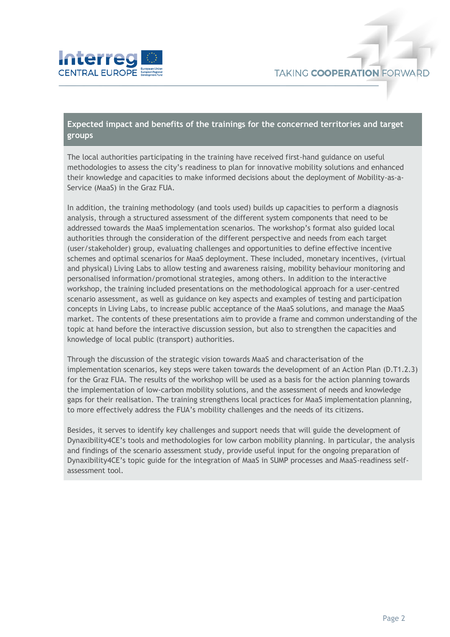

### **Expected impact and benefits of the trainings for the concerned territories and target groups**

The local authorities participating in the training have received first-hand guidance on useful methodologies to assess the city's readiness to plan for innovative mobility solutions and enhanced their knowledge and capacities to make informed decisions about the deployment of Mobility-as-a-Service (MaaS) in the Graz FUA.

In addition, the training methodology (and tools used) builds up capacities to perform a diagnosis analysis, through a structured assessment of the different system components that need to be addressed towards the MaaS implementation scenarios. The workshop's format also guided local authorities through the consideration of the different perspective and needs from each target (user/stakeholder) group, evaluating challenges and opportunities to define effective incentive schemes and optimal scenarios for MaaS deployment. These included, monetary incentives, (virtual and physical) Living Labs to allow testing and awareness raising, mobility behaviour monitoring and personalised information/promotional strategies, among others. In addition to the interactive workshop, the training included presentations on the methodological approach for a user-centred scenario assessment, as well as guidance on key aspects and examples of testing and participation concepts in Living Labs, to increase public acceptance of the MaaS solutions, and manage the MaaS market. The contents of these presentations aim to provide a frame and common understanding of the topic at hand before the interactive discussion session, but also to strengthen the capacities and knowledge of local public (transport) authorities.

Through the discussion of the strategic vision towards MaaS and characterisation of the implementation scenarios, key steps were taken towards the development of an Action Plan (D.T1.2.3) for the Graz FUA. The results of the workshop will be used as a basis for the action planning towards the implementation of low-carbon mobility solutions, and the assessment of needs and knowledge gaps for their realisation. The training strengthens local practices for MaaS implementation planning, to more effectively address the FUA's mobility challenges and the needs of its citizens.

Besides, it serves to identify key challenges and support needs that will guide the development of Dynaxibility4CE's tools and methodologies for low carbon mobility planning. In particular, the analysis and findings of the scenario assessment study, provide useful input for the ongoing preparation of Dynaxibility4CE's topic guide for the integration of MaaS in SUMP processes and MaaS-readiness selfassessment tool.